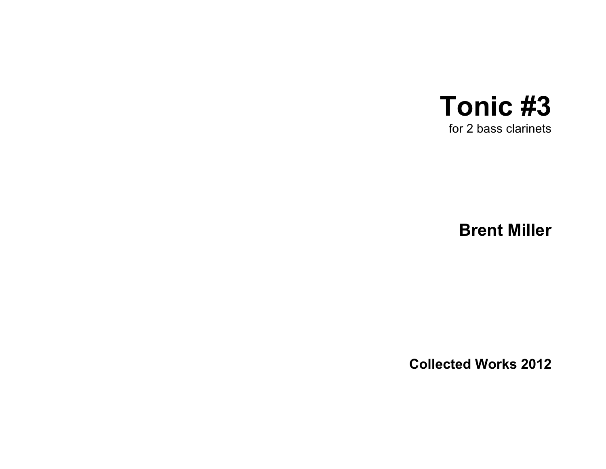

**Brent Miller**

**Collected Works 2012**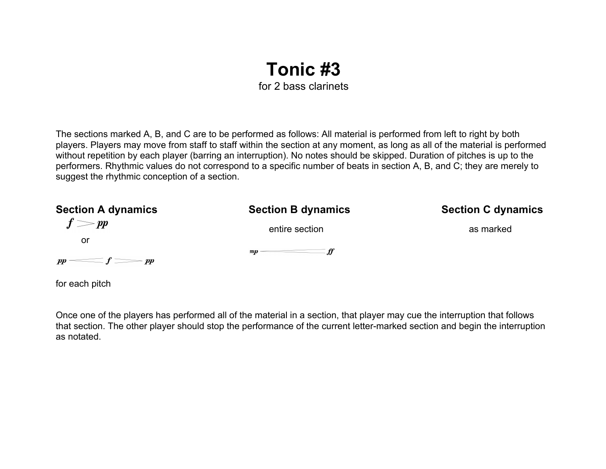## **Tonic #3** for 2 bass clarinets

The sections marked A, B, and C are to be performed as follows: All material is performed from left to right by both players. Players may move from staff to staff within the section at any moment, as long as all of the material is performed without repetition by each player (barring an interruption). No notes should be skipped. Duration of pitches is up to the performers. Rhythmic values do not correspond to a specific number of beats in section A, B, and C; they are merely to suggest the rhythmic conception of a section.

| <b>Section A dynamics</b>                 | <b>Section B dynamics</b>     | <b>Section C dynamics</b> |
|-------------------------------------------|-------------------------------|---------------------------|
| $f = pp$                                  | entire section                | as marked                 |
| or                                        |                               |                           |
|                                           | $\mathbb{Z}$ mp $\frac{f}{f}$ |                           |
| $pp \longrightarrow f \longrightarrow pp$ |                               |                           |
| for each pitch                            |                               |                           |

Once one of the players has performed all of the material in a section, that player may cue the interruption that follows that section. The other player should stop the performance of the current letter-marked section and begin the interruption as notated.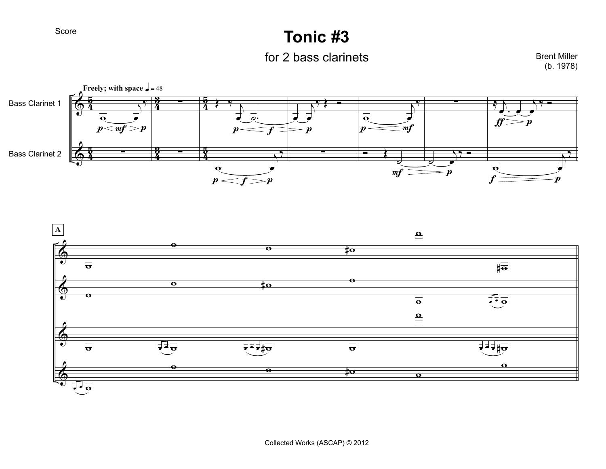Score

## **Tonic #3**

for 2 bass clarinets

Brent Miller (b. 1978)



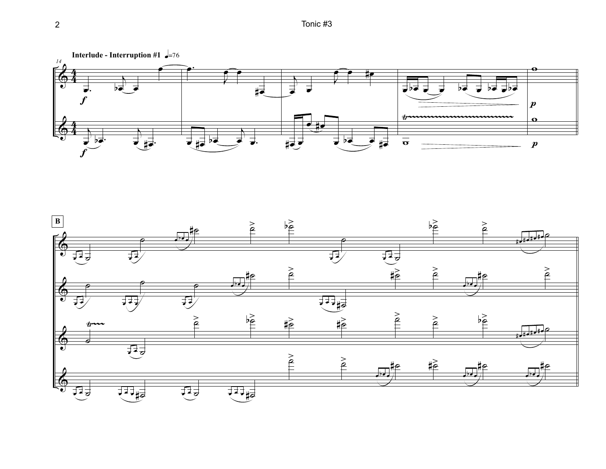

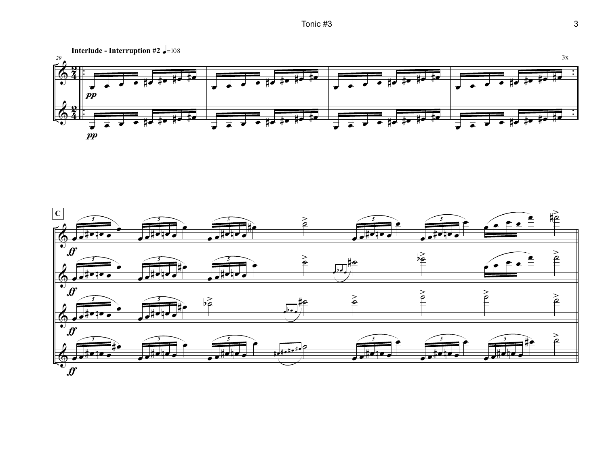